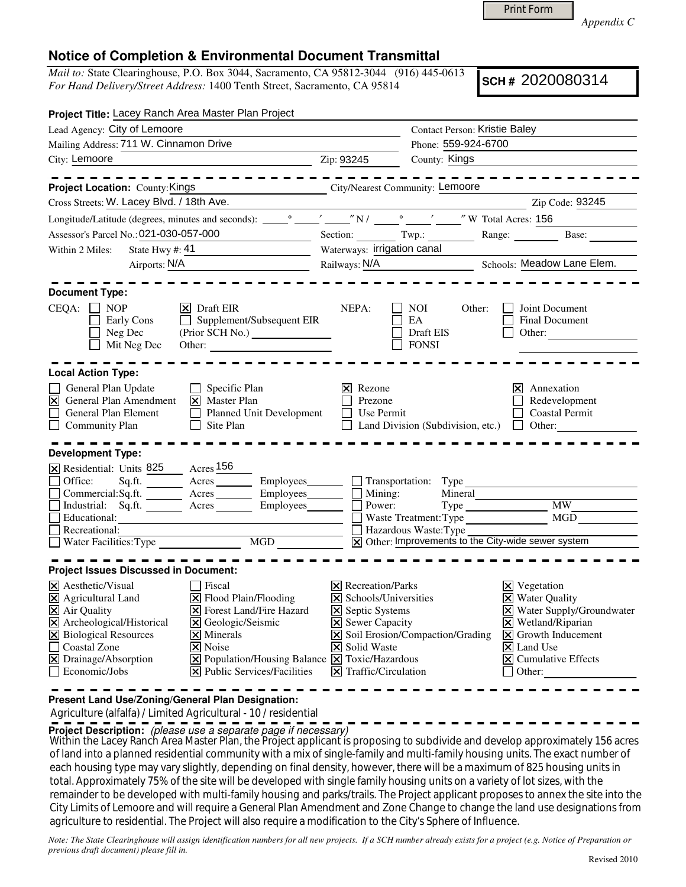Print Form

*Appendix C* 

## **Notice of Completion & Environmental Document Transmittal**

*Mail to:* State Clearinghouse, P.O. Box 3044, Sacramento, CA 95812-3044 (916) 445-0613 *For Hand Delivery/Street Address:* 1400 Tenth Street, Sacramento, CA 95814

**SCH #** 2020080314

| Project Title: Lacey Ranch Area Master Plan Project                                                                                                                                                                                                                                                                                                                                                                                                                                                                                                                      |                                                                                                                                                                                    |                                                                                   |                                                                                                                                                                                                                                                               |  |  |  |  |
|--------------------------------------------------------------------------------------------------------------------------------------------------------------------------------------------------------------------------------------------------------------------------------------------------------------------------------------------------------------------------------------------------------------------------------------------------------------------------------------------------------------------------------------------------------------------------|------------------------------------------------------------------------------------------------------------------------------------------------------------------------------------|-----------------------------------------------------------------------------------|---------------------------------------------------------------------------------------------------------------------------------------------------------------------------------------------------------------------------------------------------------------|--|--|--|--|
| Lead Agency: City of Lemoore                                                                                                                                                                                                                                                                                                                                                                                                                                                                                                                                             | <b>Contact Person: Kristie Baley</b>                                                                                                                                               |                                                                                   |                                                                                                                                                                                                                                                               |  |  |  |  |
| Mailing Address: 711 W. Cinnamon Drive                                                                                                                                                                                                                                                                                                                                                                                                                                                                                                                                   |                                                                                                                                                                                    | Phone: 559-924-6700                                                               |                                                                                                                                                                                                                                                               |  |  |  |  |
| City: Lemoore                                                                                                                                                                                                                                                                                                                                                                                                                                                                                                                                                            | Zip: 93245                                                                                                                                                                         | County: Kings                                                                     |                                                                                                                                                                                                                                                               |  |  |  |  |
| <u>----------</u>                                                                                                                                                                                                                                                                                                                                                                                                                                                                                                                                                        |                                                                                                                                                                                    |                                                                                   | -----------                                                                                                                                                                                                                                                   |  |  |  |  |
| City/Nearest Community: Lemoore<br><b>Project Location: County: Kings</b>                                                                                                                                                                                                                                                                                                                                                                                                                                                                                                |                                                                                                                                                                                    |                                                                                   |                                                                                                                                                                                                                                                               |  |  |  |  |
| Cross Streets: W. Lacey Blvd. / 18th Ave.                                                                                                                                                                                                                                                                                                                                                                                                                                                                                                                                |                                                                                                                                                                                    |                                                                                   | Zip Code: 93245                                                                                                                                                                                                                                               |  |  |  |  |
|                                                                                                                                                                                                                                                                                                                                                                                                                                                                                                                                                                          |                                                                                                                                                                                    |                                                                                   |                                                                                                                                                                                                                                                               |  |  |  |  |
| Assessor's Parcel No.: 021-030-057-000<br><u> 1980 - Johann Barnett, fransk politiker</u>                                                                                                                                                                                                                                                                                                                                                                                                                                                                                |                                                                                                                                                                                    |                                                                                   | Section: Twp.: Range: Base:                                                                                                                                                                                                                                   |  |  |  |  |
| Within 2 Miles:                                                                                                                                                                                                                                                                                                                                                                                                                                                                                                                                                          |                                                                                                                                                                                    | Waterways: irrigation canal                                                       |                                                                                                                                                                                                                                                               |  |  |  |  |
| Airports: N/A                                                                                                                                                                                                                                                                                                                                                                                                                                                                                                                                                            |                                                                                                                                                                                    |                                                                                   | Railways: N/A<br>Schools: Meadow Lane Elem.                                                                                                                                                                                                                   |  |  |  |  |
| <b>Document Type:</b><br>$CEQA: \Box NP$<br>$ \mathsf{X} $ Draft EIR<br>$\Box$ Supplement/Subsequent EIR<br>Early Cons<br>Neg Dec<br>(Prior SCH No.)<br>Mit Neg Dec<br>Other:                                                                                                                                                                                                                                                                                                                                                                                            | NEPA:                                                                                                                                                                              | NOI<br>Other:<br>EA<br>Draft EIS<br><b>FONSI</b>                                  | Joint Document<br>Final Document<br>Other:                                                                                                                                                                                                                    |  |  |  |  |
| <b>Local Action Type:</b><br>General Plan Update<br>$\Box$ Specific Plan<br>$\boxtimes$<br>General Plan Amendment<br>$\boxed{\mathsf{X}}$ Master Plan<br>Planned Unit Development<br>General Plan Element<br>$\Box$ Site Plan<br>Community Plan                                                                                                                                                                                                                                                                                                                          | Rezone<br>Prezone<br>Use Permit                                                                                                                                                    | $\Box$ Land Division (Subdivision, etc.) $\Box$ Other:                            | Annexation<br>Ι×Ι<br>Redevelopment<br>Coastal Permit                                                                                                                                                                                                          |  |  |  |  |
| <b>Development Type:</b><br>X Residential: Units 825 Acres 156<br>Sq.ft. ________ Acres _________ Employees________ ___ Transportation: Type<br>Office:<br>Commercial: Sq.ft. Acres Employees Burnouses Mining:<br>Industrial: Sq.ft. Acres Employees Burnouses Acres Employees<br>Industrial: Sq.ft. Acres Employees Power:<br>■ Recreational:<br>■ Water Facilities: Type <del>■ MGD</del> ■ MGD ■ MGD ■ MGD ■ MGD ■ MGD ■ MGD ■ MGD → MGD → MGD → MGD → MGD → MGD → MGD → MGD → MGD → MGD → MGD → MGD → MGD → MGD → MGD → MGD → MGD → MGD → MGD → MGD → MGD → MGD → M |                                                                                                                                                                                    | Mineral<br>$\boxed{\mathbf{X}}$ Other: Improvements to the City-wide sewer system | <b>MW</b><br>MGD                                                                                                                                                                                                                                              |  |  |  |  |
| <b>Project Issues Discussed in Document:</b>                                                                                                                                                                                                                                                                                                                                                                                                                                                                                                                             |                                                                                                                                                                                    |                                                                                   |                                                                                                                                                                                                                                                               |  |  |  |  |
| $\vert\mathsf{X}\vert$ Aesthetic/Visual<br>Fiscal<br>X Agricultural Land<br>$\triangleright$ Flood Plain/Flooding<br><b>X</b> Forest Land/Fire Hazard<br>X Air Quality<br>X Archeological/Historical<br>X Geologic/Seismic<br>X Biological Resources<br>$\times$ Minerals<br>Coastal Zone<br>$\triangleright$ Noise<br>$\boxtimes$ Drainage/Absorption<br>$\boxed{\mathsf{X}}$ Population/Housing Balance $\boxed{\mathsf{X}}$ Toxic/Hazardous<br>$\Box$ Economic/Jobs<br>$ \mathbf{\overline{X}} $ Public Services/Facilities                                           | $ \mathsf{X} $ Recreation/Parks<br>X Schools/Universities<br><b>X</b> Septic Systems<br><b>X</b> Sewer Capacity<br><b>X</b> Solid Waste<br>$ \mathbf{\nabla} $ Traffic/Circulation | $\triangleright$ Soil Erosion/Compaction/Grading                                  | $\boxtimes$ Vegetation<br><b>X</b> Water Quality<br>X Water Supply/Groundwater<br>$\boxtimes$ Wetland/Riparian<br>$\vert\mathbf{X}\vert$ Growth Inducement<br>$\overline{\mathsf{x}}$ Land Use<br>$\overline{\mathsf{x}}$ Cumulative Effects<br>$\Box$ Other: |  |  |  |  |

**Present Land Use/Zoning/General Plan Designation:**

Agriculture (alfalfa) / Limited Agricultural - 10 / residential

**Project Description:** (please use a separate page if necessary)

Within the Lacey Ranch Area Master Plan, the Project applicant is proposing to subdivide and develop approximately 156 acres<br>Should interest proposition is because the site of the substitute of the interest function with t of land into a planned residential community with a mix of single-family and multi-family housing units. The exact number of each housing type may vary slightly, depending on final density, however, there will be a maximum of 825 housing units in total. Approximately 75% of the site will be developed with single family housing units on a variety of lot sizes, with the remainder to be developed with multi-family housing and parks/trails. The Project applicant proposes to annex the site into the City Limits of Lemoore and will require a General Plan Amendment and Zone Change to change the land use designations from agriculture to residential. The Project will also require a modification to the City's Sphere of Influence.

*Note: The State Clearinghouse will assign identification numbers for all new projects. If a SCH number already exists for a project (e.g. Notice of Preparation or previous draft document) please fill in.*